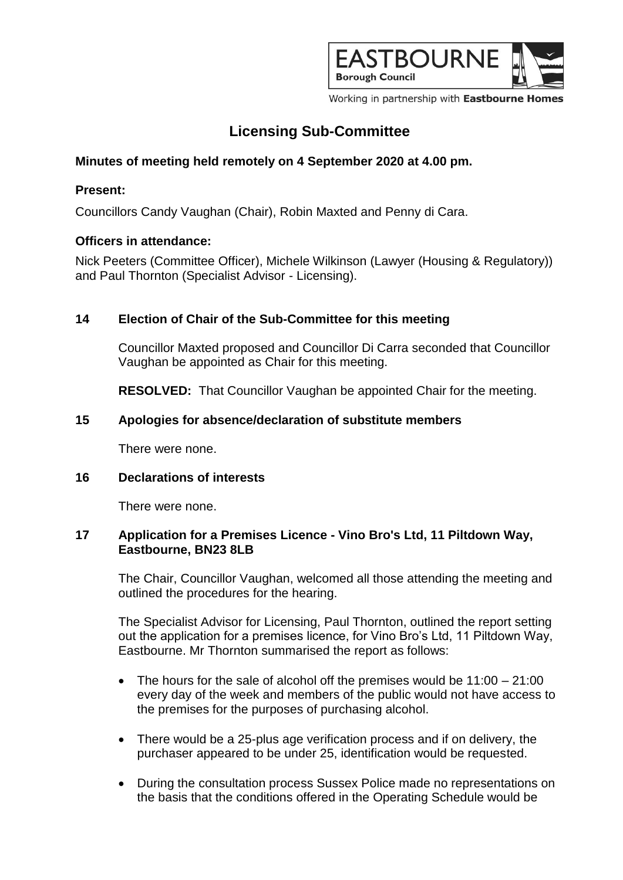

Working in partnership with Eastbourne Homes

# **Licensing Sub-Committee**

## **Minutes of meeting held remotely on 4 September 2020 at 4.00 pm.**

## **Present:**

Councillors Candy Vaughan (Chair), Robin Maxted and Penny di Cara.

### **Officers in attendance:**

Nick Peeters (Committee Officer), Michele Wilkinson (Lawyer (Housing & Regulatory)) and Paul Thornton (Specialist Advisor - Licensing).

## **14 Election of Chair of the Sub-Committee for this meeting**

Councillor Maxted proposed and Councillor Di Carra seconded that Councillor Vaughan be appointed as Chair for this meeting.

**RESOLVED:** That Councillor Vaughan be appointed Chair for the meeting.

### **15 Apologies for absence/declaration of substitute members**

There were none.

### **16 Declarations of interests**

There were none.

#### **17 Application for a Premises Licence - Vino Bro's Ltd, 11 Piltdown Way, Eastbourne, BN23 8LB**

The Chair, Councillor Vaughan, welcomed all those attending the meeting and outlined the procedures for the hearing.

The Specialist Advisor for Licensing, Paul Thornton, outlined the report setting out the application for a premises licence, for Vino Bro's Ltd, 11 Piltdown Way, Eastbourne. Mr Thornton summarised the report as follows:

- $\bullet$  The hours for the sale of alcohol off the premises would be 11:00 21:00 every day of the week and members of the public would not have access to the premises for the purposes of purchasing alcohol.
- There would be a 25-plus age verification process and if on delivery, the purchaser appeared to be under 25, identification would be requested.
- During the consultation process Sussex Police made no representations on the basis that the conditions offered in the Operating Schedule would be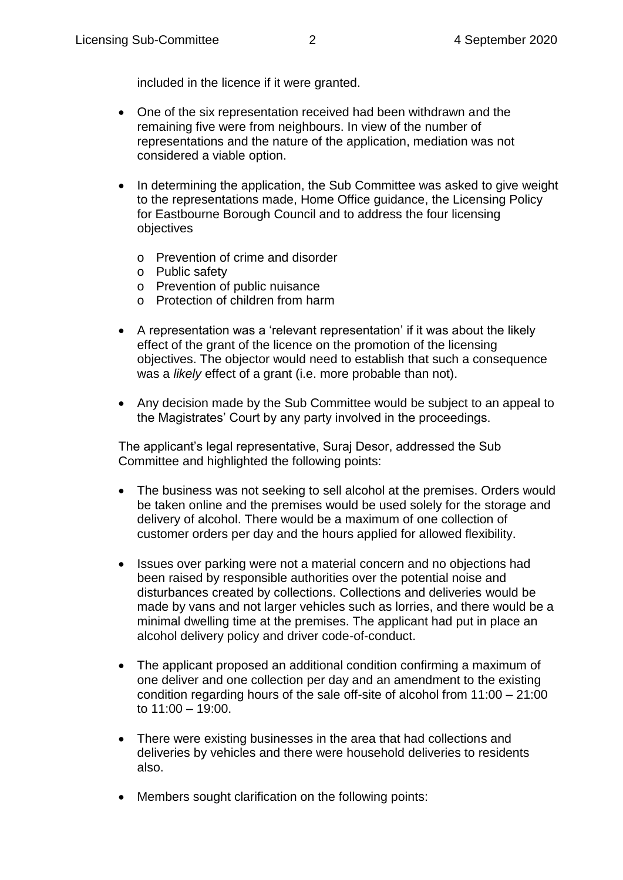included in the licence if it were granted.

- One of the six representation received had been withdrawn and the remaining five were from neighbours. In view of the number of representations and the nature of the application, mediation was not considered a viable option.
- In determining the application, the Sub Committee was asked to give weight to the representations made, Home Office guidance, the Licensing Policy for Eastbourne Borough Council and to address the four licensing objectives
	- o Prevention of crime and disorder
	- o Public safety
	- o Prevention of public nuisance
	- o Protection of children from harm
- A representation was a 'relevant representation' if it was about the likely effect of the grant of the licence on the promotion of the licensing objectives. The objector would need to establish that such a consequence was a *likely* effect of a grant (i.e. more probable than not).
- Any decision made by the Sub Committee would be subject to an appeal to the Magistrates' Court by any party involved in the proceedings.

The applicant's legal representative, Suraj Desor, addressed the Sub Committee and highlighted the following points:

- The business was not seeking to sell alcohol at the premises. Orders would be taken online and the premises would be used solely for the storage and delivery of alcohol. There would be a maximum of one collection of customer orders per day and the hours applied for allowed flexibility.
- Issues over parking were not a material concern and no objections had been raised by responsible authorities over the potential noise and disturbances created by collections. Collections and deliveries would be made by vans and not larger vehicles such as lorries, and there would be a minimal dwelling time at the premises. The applicant had put in place an alcohol delivery policy and driver code-of-conduct.
- The applicant proposed an additional condition confirming a maximum of one deliver and one collection per day and an amendment to the existing condition regarding hours of the sale off-site of alcohol from 11:00 – 21:00 to 11:00 – 19:00.
- There were existing businesses in the area that had collections and deliveries by vehicles and there were household deliveries to residents also.
- Members sought clarification on the following points: